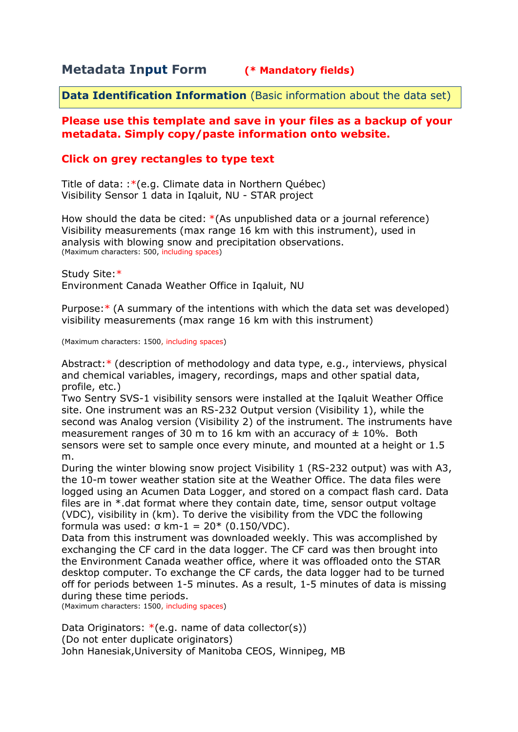# **Metadata Input Form (\* Mandatory fields)**

**Data Identification Information** (Basic information about the data set)

### **Please use this template and save in your files as a backup of your metadata. Simply copy/paste information onto website.**

# **Click on grey rectangles to type text**

Title of data: :\*(e.g. Climate data in Northern Québec) Visibility Sensor 1 data in Iqaluit, NU - STAR project

How should the data be cited: \*(As unpublished data or a journal reference) Visibility measurements (max range 16 km with this instrument), used in analysis with blowing snow and precipitation observations. (Maximum characters: 500, including spaces)

Study Site:\* Environment Canada Weather Office in Iqaluit, NU

Purpose:\* (A summary of the intentions with which the data set was developed) visibility measurements (max range 16 km with this instrument)

(Maximum characters: 1500, including spaces)

Abstract:\* (description of methodology and data type, e.g., interviews, physical and chemical variables, imagery, recordings, maps and other spatial data, profile, etc.)

Two Sentry SVS-1 visibility sensors were installed at the Iqaluit Weather Office site. One instrument was an RS-232 Output version (Visibility 1), while the second was Analog version (Visibility 2) of the instrument. The instruments have measurement ranges of 30 m to 16 km with an accuracy of  $\pm$  10%. Both sensors were set to sample once every minute, and mounted at a height or 1.5 m.

During the winter blowing snow project Visibility 1 (RS-232 output) was with A3, the 10-m tower weather station site at the Weather Office. The data files were logged using an Acumen Data Logger, and stored on a compact flash card. Data files are in \*.dat format where they contain date, time, sensor output voltage (VDC), visibility in (km). To derive the visibility from the VDC the following formula was used: σ km-1 = 20\* (0.150/VDC).

Data from this instrument was downloaded weekly. This was accomplished by exchanging the CF card in the data logger. The CF card was then brought into the Environment Canada weather office, where it was offloaded onto the STAR desktop computer. To exchange the CF cards, the data logger had to be turned off for periods between 1-5 minutes. As a result, 1-5 minutes of data is missing during these time periods.

(Maximum characters: 1500, including spaces)

Data Originators:  $*(e.q.$  name of data collector(s)) (Do not enter duplicate originators) John Hanesiak,University of Manitoba CEOS, Winnipeg, MB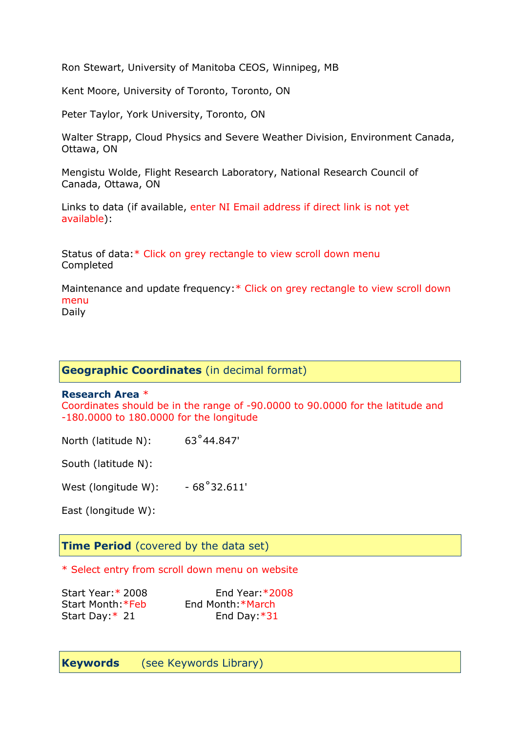Ron Stewart, University of Manitoba CEOS, Winnipeg, MB

Kent Moore, University of Toronto, Toronto, ON

Peter Taylor, York University, Toronto, ON

Walter Strapp, Cloud Physics and Severe Weather Division, Environment Canada, Ottawa, ON

Mengistu Wolde, Flight Research Laboratory, National Research Council of Canada, Ottawa, ON

Links to data (if available, enter NI Email address if direct link is not yet available):

Status of data:\* Click on grey rectangle to view scroll down menu Completed

Maintenance and update frequency:\* Click on grey rectangle to view scroll down menu Daily

### **Geographic Coordinates** (in decimal format)

#### **Research Area** \*

Coordinates should be in the range of -90.0000 to 90.0000 for the latitude and -180.0000 to 180.0000 for the longitude

North (latitude N): 63°44.847'

South (latitude N):

West (longitude W):  $-68^{\circ}32.611'$ 

East (longitude W):

#### **Time Period** (covered by the data set)

\* Select entry from scroll down menu on website

Start Month:\*Feb End Month:\*March

Start Year:\* 2008 End Year:\*2008 Start Day: \* 21 End Day: \* 31

**Keywords** (see Keywords Library)